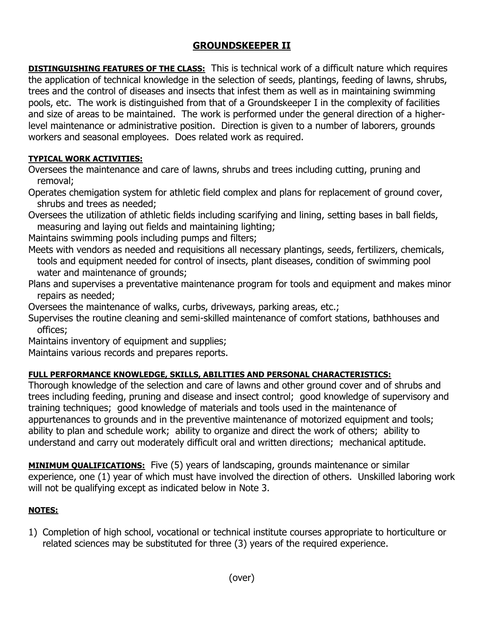# **GROUNDSKEEPER II**

**DISTINGUISHING FEATURES OF THE CLASS:** This is technical work of a difficult nature which requires the application of technical knowledge in the selection of seeds, plantings, feeding of lawns, shrubs, trees and the control of diseases and insects that infest them as well as in maintaining swimming pools, etc. The work is distinguished from that of a Groundskeeper I in the complexity of facilities and size of areas to be maintained. The work is performed under the general direction of a higherlevel maintenance or administrative position. Direction is given to a number of laborers, grounds workers and seasonal employees. Does related work as required.

## **TYPICAL WORK ACTIVITIES:**

Oversees the maintenance and care of lawns, shrubs and trees including cutting, pruning and removal;

Operates chemigation system for athletic field complex and plans for replacement of ground cover, shrubs and trees as needed;

Oversees the utilization of athletic fields including scarifying and lining, setting bases in ball fields, measuring and laying out fields and maintaining lighting;

Maintains swimming pools including pumps and filters;

Meets with vendors as needed and requisitions all necessary plantings, seeds, fertilizers, chemicals, tools and equipment needed for control of insects, plant diseases, condition of swimming pool water and maintenance of grounds;

Plans and supervises a preventative maintenance program for tools and equipment and makes minor repairs as needed;

Oversees the maintenance of walks, curbs, driveways, parking areas, etc.;

Supervises the routine cleaning and semi-skilled maintenance of comfort stations, bathhouses and offices;

Maintains inventory of equipment and supplies;

Maintains various records and prepares reports.

## **FULL PERFORMANCE KNOWLEDGE, SKILLS, ABILITIES AND PERSONAL CHARACTERISTICS:**

Thorough knowledge of the selection and care of lawns and other ground cover and of shrubs and trees including feeding, pruning and disease and insect control; good knowledge of supervisory and training techniques; good knowledge of materials and tools used in the maintenance of appurtenances to grounds and in the preventive maintenance of motorized equipment and tools; ability to plan and schedule work; ability to organize and direct the work of others; ability to understand and carry out moderately difficult oral and written directions; mechanical aptitude.

**MINIMUM QUALIFICATIONS:** Five (5) years of landscaping, grounds maintenance or similar experience, one (1) year of which must have involved the direction of others. Unskilled laboring work will not be qualifying except as indicated below in Note 3.

## **NOTES:**

1) Completion of high school, vocational or technical institute courses appropriate to horticulture or related sciences may be substituted for three (3) years of the required experience.